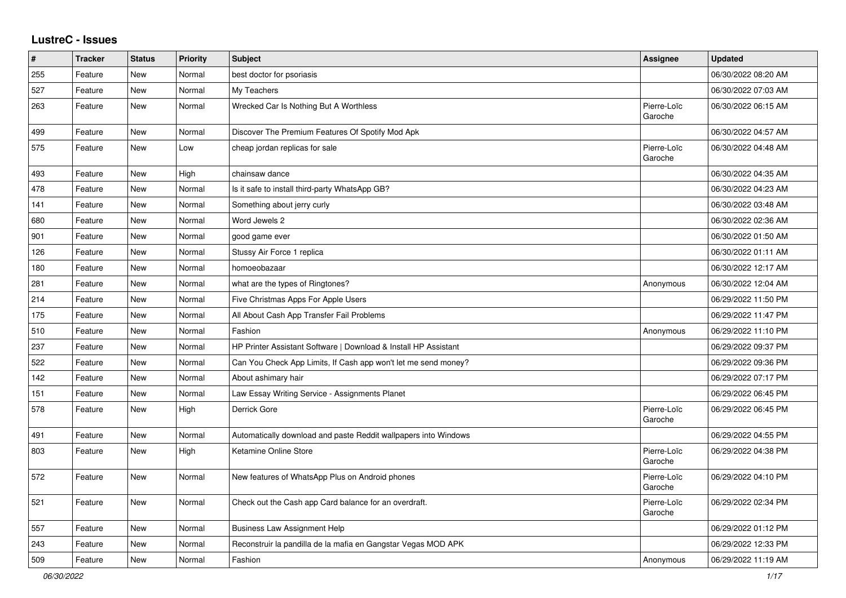## **LustreC - Issues**

| $\pmb{\#}$ | <b>Tracker</b> | <b>Status</b> | <b>Priority</b> | <b>Subject</b>                                                  | <b>Assignee</b>        | <b>Updated</b>      |
|------------|----------------|---------------|-----------------|-----------------------------------------------------------------|------------------------|---------------------|
| 255        | Feature        | <b>New</b>    | Normal          | best doctor for psoriasis                                       |                        | 06/30/2022 08:20 AM |
| 527        | Feature        | New           | Normal          | My Teachers                                                     |                        | 06/30/2022 07:03 AM |
| 263        | Feature        | New           | Normal          | Wrecked Car Is Nothing But A Worthless                          | Pierre-Loïc<br>Garoche | 06/30/2022 06:15 AM |
| 499        | Feature        | <b>New</b>    | Normal          | Discover The Premium Features Of Spotify Mod Apk                |                        | 06/30/2022 04:57 AM |
| 575        | Feature        | New           | Low             | cheap jordan replicas for sale                                  | Pierre-Loïc<br>Garoche | 06/30/2022 04:48 AM |
| 493        | Feature        | New           | High            | chainsaw dance                                                  |                        | 06/30/2022 04:35 AM |
| 478        | Feature        | New           | Normal          | Is it safe to install third-party WhatsApp GB?                  |                        | 06/30/2022 04:23 AM |
| 141        | Feature        | New           | Normal          | Something about jerry curly                                     |                        | 06/30/2022 03:48 AM |
| 680        | Feature        | <b>New</b>    | Normal          | Word Jewels 2                                                   |                        | 06/30/2022 02:36 AM |
| 901        | Feature        | <b>New</b>    | Normal          | good game ever                                                  |                        | 06/30/2022 01:50 AM |
| 126        | Feature        | New           | Normal          | Stussy Air Force 1 replica                                      |                        | 06/30/2022 01:11 AM |
| 180        | Feature        | New           | Normal          | homoeobazaar                                                    |                        | 06/30/2022 12:17 AM |
| 281        | Feature        | New           | Normal          | what are the types of Ringtones?                                | Anonymous              | 06/30/2022 12:04 AM |
| 214        | Feature        | New           | Normal          | Five Christmas Apps For Apple Users                             |                        | 06/29/2022 11:50 PM |
| 175        | Feature        | New           | Normal          | All About Cash App Transfer Fail Problems                       |                        | 06/29/2022 11:47 PM |
| 510        | Feature        | New           | Normal          | Fashion                                                         | Anonymous              | 06/29/2022 11:10 PM |
| 237        | Feature        | New           | Normal          | HP Printer Assistant Software   Download & Install HP Assistant |                        | 06/29/2022 09:37 PM |
| 522        | Feature        | <b>New</b>    | Normal          | Can You Check App Limits, If Cash app won't let me send money?  |                        | 06/29/2022 09:36 PM |
| 142        | Feature        | New           | Normal          | About ashimary hair                                             |                        | 06/29/2022 07:17 PM |
| 151        | Feature        | New           | Normal          | Law Essay Writing Service - Assignments Planet                  |                        | 06/29/2022 06:45 PM |
| 578        | Feature        | New           | High            | Derrick Gore                                                    | Pierre-Loïc<br>Garoche | 06/29/2022 06:45 PM |
| 491        | Feature        | <b>New</b>    | Normal          | Automatically download and paste Reddit wallpapers into Windows |                        | 06/29/2022 04:55 PM |
| 803        | Feature        | New           | High            | Ketamine Online Store                                           | Pierre-Loïc<br>Garoche | 06/29/2022 04:38 PM |
| 572        | Feature        | New           | Normal          | New features of WhatsApp Plus on Android phones                 | Pierre-Loïc<br>Garoche | 06/29/2022 04:10 PM |
| 521        | Feature        | New           | Normal          | Check out the Cash app Card balance for an overdraft.           | Pierre-Loïc<br>Garoche | 06/29/2022 02:34 PM |
| 557        | Feature        | New           | Normal          | <b>Business Law Assignment Help</b>                             |                        | 06/29/2022 01:12 PM |
| 243        | Feature        | New           | Normal          | Reconstruir la pandilla de la mafia en Gangstar Vegas MOD APK   |                        | 06/29/2022 12:33 PM |
| 509        | Feature        | <b>New</b>    | Normal          | Fashion                                                         | Anonymous              | 06/29/2022 11:19 AM |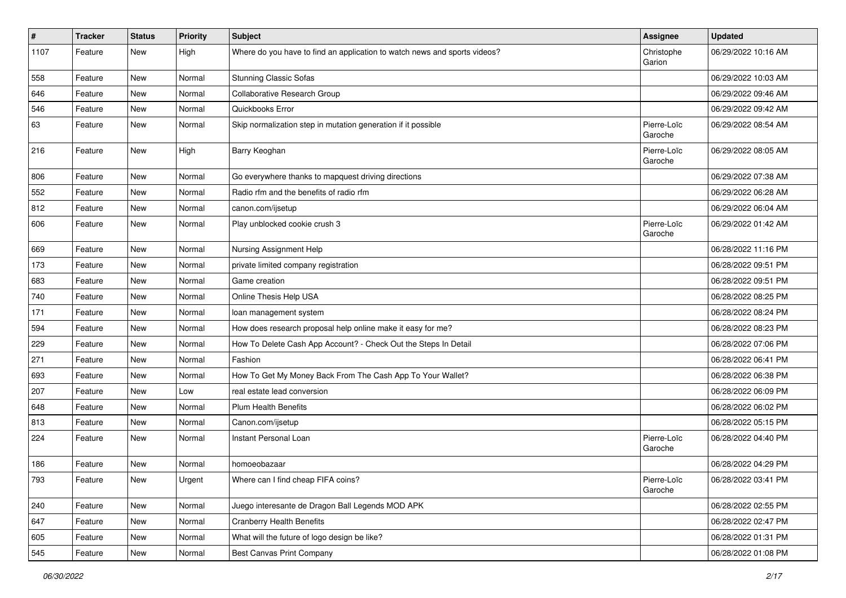| $\vert$ # | <b>Tracker</b> | <b>Status</b> | <b>Priority</b> | <b>Subject</b>                                                            | <b>Assignee</b>        | <b>Updated</b>      |
|-----------|----------------|---------------|-----------------|---------------------------------------------------------------------------|------------------------|---------------------|
| 1107      | Feature        | New           | High            | Where do you have to find an application to watch news and sports videos? | Christophe<br>Garion   | 06/29/2022 10:16 AM |
| 558       | Feature        | New           | Normal          | <b>Stunning Classic Sofas</b>                                             |                        | 06/29/2022 10:03 AM |
| 646       | Feature        | New           | Normal          | Collaborative Research Group                                              |                        | 06/29/2022 09:46 AM |
| 546       | Feature        | New           | Normal          | Quickbooks Error                                                          |                        | 06/29/2022 09:42 AM |
| 63        | Feature        | New           | Normal          | Skip normalization step in mutation generation if it possible             | Pierre-Loïc<br>Garoche | 06/29/2022 08:54 AM |
| 216       | Feature        | New           | High            | Barry Keoghan                                                             | Pierre-Loïc<br>Garoche | 06/29/2022 08:05 AM |
| 806       | Feature        | New           | Normal          | Go everywhere thanks to mapquest driving directions                       |                        | 06/29/2022 07:38 AM |
| 552       | Feature        | New           | Normal          | Radio rfm and the benefits of radio rfm                                   |                        | 06/29/2022 06:28 AM |
| 812       | Feature        | New           | Normal          | canon.com/ijsetup                                                         |                        | 06/29/2022 06:04 AM |
| 606       | Feature        | New           | Normal          | Play unblocked cookie crush 3                                             | Pierre-Loïc<br>Garoche | 06/29/2022 01:42 AM |
| 669       | Feature        | New           | Normal          | Nursing Assignment Help                                                   |                        | 06/28/2022 11:16 PM |
| 173       | Feature        | New           | Normal          | private limited company registration                                      |                        | 06/28/2022 09:51 PM |
| 683       | Feature        | New           | Normal          | Game creation                                                             |                        | 06/28/2022 09:51 PM |
| 740       | Feature        | New           | Normal          | Online Thesis Help USA                                                    |                        | 06/28/2022 08:25 PM |
| 171       | Feature        | New           | Normal          | loan management system                                                    |                        | 06/28/2022 08:24 PM |
| 594       | Feature        | New           | Normal          | How does research proposal help online make it easy for me?               |                        | 06/28/2022 08:23 PM |
| 229       | Feature        | New           | Normal          | How To Delete Cash App Account? - Check Out the Steps In Detail           |                        | 06/28/2022 07:06 PM |
| 271       | Feature        | New           | Normal          | Fashion                                                                   |                        | 06/28/2022 06:41 PM |
| 693       | Feature        | New           | Normal          | How To Get My Money Back From The Cash App To Your Wallet?                |                        | 06/28/2022 06:38 PM |
| 207       | Feature        | New           | Low             | real estate lead conversion                                               |                        | 06/28/2022 06:09 PM |
| 648       | Feature        | New           | Normal          | <b>Plum Health Benefits</b>                                               |                        | 06/28/2022 06:02 PM |
| 813       | Feature        | New           | Normal          | Canon.com/ijsetup                                                         |                        | 06/28/2022 05:15 PM |
| 224       | Feature        | New           | Normal          | Instant Personal Loan                                                     | Pierre-Loïc<br>Garoche | 06/28/2022 04:40 PM |
| 186       | Feature        | New           | Normal          | homoeobazaar                                                              |                        | 06/28/2022 04:29 PM |
| 793       | Feature        | New           | Urgent          | Where can I find cheap FIFA coins?                                        | Pierre-Loïc<br>Garoche | 06/28/2022 03:41 PM |
| 240       | Feature        | New           | Normal          | Juego interesante de Dragon Ball Legends MOD APK                          |                        | 06/28/2022 02:55 PM |
| 647       | Feature        | New           | Normal          | <b>Cranberry Health Benefits</b>                                          |                        | 06/28/2022 02:47 PM |
| 605       | Feature        | New           | Normal          | What will the future of logo design be like?                              |                        | 06/28/2022 01:31 PM |
| 545       | Feature        | New           | Normal          | Best Canvas Print Company                                                 |                        | 06/28/2022 01:08 PM |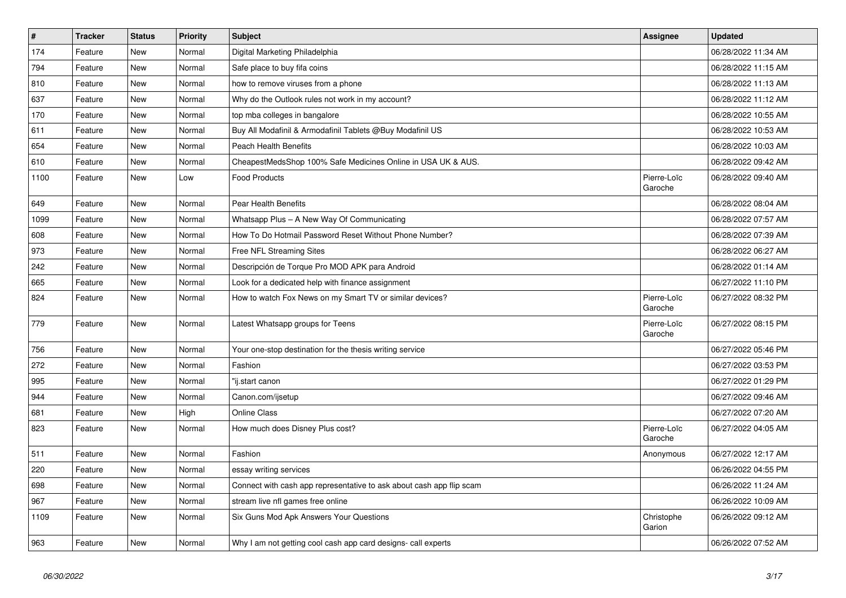| $\vert$ # | <b>Tracker</b> | <b>Status</b> | Priority | <b>Subject</b>                                                       | Assignee               | <b>Updated</b>      |
|-----------|----------------|---------------|----------|----------------------------------------------------------------------|------------------------|---------------------|
| 174       | Feature        | <b>New</b>    | Normal   | Digital Marketing Philadelphia                                       |                        | 06/28/2022 11:34 AM |
| 794       | Feature        | New           | Normal   | Safe place to buy fifa coins                                         |                        | 06/28/2022 11:15 AM |
| 810       | Feature        | New           | Normal   | how to remove viruses from a phone                                   |                        | 06/28/2022 11:13 AM |
| 637       | Feature        | <b>New</b>    | Normal   | Why do the Outlook rules not work in my account?                     |                        | 06/28/2022 11:12 AM |
| 170       | Feature        | <b>New</b>    | Normal   | top mba colleges in bangalore                                        |                        | 06/28/2022 10:55 AM |
| 611       | Feature        | New           | Normal   | Buy All Modafinil & Armodafinil Tablets @Buy Modafinil US            |                        | 06/28/2022 10:53 AM |
| 654       | Feature        | New           | Normal   | <b>Peach Health Benefits</b>                                         |                        | 06/28/2022 10:03 AM |
| 610       | Feature        | <b>New</b>    | Normal   | CheapestMedsShop 100% Safe Medicines Online in USA UK & AUS.         |                        | 06/28/2022 09:42 AM |
| 1100      | Feature        | <b>New</b>    | Low      | <b>Food Products</b>                                                 | Pierre-Loïc<br>Garoche | 06/28/2022 09:40 AM |
| 649       | Feature        | New           | Normal   | Pear Health Benefits                                                 |                        | 06/28/2022 08:04 AM |
| 1099      | Feature        | New           | Normal   | Whatsapp Plus - A New Way Of Communicating                           |                        | 06/28/2022 07:57 AM |
| 608       | Feature        | New           | Normal   | How To Do Hotmail Password Reset Without Phone Number?               |                        | 06/28/2022 07:39 AM |
| 973       | Feature        | New           | Normal   | Free NFL Streaming Sites                                             |                        | 06/28/2022 06:27 AM |
| 242       | Feature        | New           | Normal   | Descripción de Torque Pro MOD APK para Android                       |                        | 06/28/2022 01:14 AM |
| 665       | Feature        | New           | Normal   | Look for a dedicated help with finance assignment                    |                        | 06/27/2022 11:10 PM |
| 824       | Feature        | New           | Normal   | How to watch Fox News on my Smart TV or similar devices?             | Pierre-Loïc<br>Garoche | 06/27/2022 08:32 PM |
| 779       | Feature        | New           | Normal   | Latest Whatsapp groups for Teens                                     | Pierre-Loïc<br>Garoche | 06/27/2022 08:15 PM |
| 756       | Feature        | <b>New</b>    | Normal   | Your one-stop destination for the thesis writing service             |                        | 06/27/2022 05:46 PM |
| 272       | Feature        | New           | Normal   | Fashion                                                              |                        | 06/27/2022 03:53 PM |
| 995       | Feature        | New           | Normal   | "ij.start canon                                                      |                        | 06/27/2022 01:29 PM |
| 944       | Feature        | New           | Normal   | Canon.com/ijsetup                                                    |                        | 06/27/2022 09:46 AM |
| 681       | Feature        | New           | High     | <b>Online Class</b>                                                  |                        | 06/27/2022 07:20 AM |
| 823       | Feature        | New           | Normal   | How much does Disney Plus cost?                                      | Pierre-Loïc<br>Garoche | 06/27/2022 04:05 AM |
| 511       | Feature        | <b>New</b>    | Normal   | Fashion                                                              | Anonymous              | 06/27/2022 12:17 AM |
| 220       | Feature        | New           | Normal   | essay writing services                                               |                        | 06/26/2022 04:55 PM |
| 698       | Feature        | New           | Normal   | Connect with cash app representative to ask about cash app flip scam |                        | 06/26/2022 11:24 AM |
| 967       | Feature        | New           | Normal   | stream live nfl games free online                                    |                        | 06/26/2022 10:09 AM |
| 1109      | Feature        | <b>New</b>    | Normal   | Six Guns Mod Apk Answers Your Questions                              | Christophe<br>Garion   | 06/26/2022 09:12 AM |
| 963       | Feature        | New           | Normal   | Why I am not getting cool cash app card designs- call experts        |                        | 06/26/2022 07:52 AM |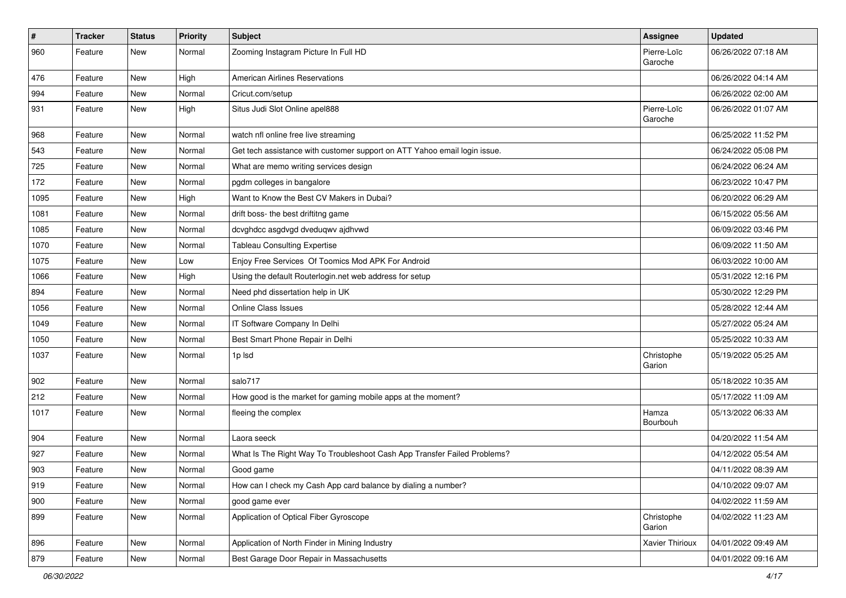| $\vert$ # | Tracker | <b>Status</b> | <b>Priority</b> | <b>Subject</b>                                                            | Assignee               | <b>Updated</b>      |
|-----------|---------|---------------|-----------------|---------------------------------------------------------------------------|------------------------|---------------------|
| 960       | Feature | New           | Normal          | Zooming Instagram Picture In Full HD                                      | Pierre-Loïc<br>Garoche | 06/26/2022 07:18 AM |
| 476       | Feature | New           | High            | <b>American Airlines Reservations</b>                                     |                        | 06/26/2022 04:14 AM |
| 994       | Feature | New           | Normal          | Cricut.com/setup                                                          |                        | 06/26/2022 02:00 AM |
| 931       | Feature | New           | High            | Situs Judi Slot Online apel888                                            | Pierre-Loïc<br>Garoche | 06/26/2022 01:07 AM |
| 968       | Feature | New           | Normal          | watch nfl online free live streaming                                      |                        | 06/25/2022 11:52 PM |
| 543       | Feature | New           | Normal          | Get tech assistance with customer support on ATT Yahoo email login issue. |                        | 06/24/2022 05:08 PM |
| 725       | Feature | New           | Normal          | What are memo writing services design                                     |                        | 06/24/2022 06:24 AM |
| 172       | Feature | New           | Normal          | pgdm colleges in bangalore                                                |                        | 06/23/2022 10:47 PM |
| 1095      | Feature | New           | High            | Want to Know the Best CV Makers in Dubai?                                 |                        | 06/20/2022 06:29 AM |
| 1081      | Feature | New           | Normal          | drift boss- the best driftitng game                                       |                        | 06/15/2022 05:56 AM |
| 1085      | Feature | New           | Normal          | dcvghdcc asgdvgd dveduqwv ajdhvwd                                         |                        | 06/09/2022 03:46 PM |
| 1070      | Feature | New           | Normal          | <b>Tableau Consulting Expertise</b>                                       |                        | 06/09/2022 11:50 AM |
| 1075      | Feature | <b>New</b>    | Low             | Enjoy Free Services Of Toomics Mod APK For Android                        |                        | 06/03/2022 10:00 AM |
| 1066      | Feature | New           | High            | Using the default Routerlogin.net web address for setup                   |                        | 05/31/2022 12:16 PM |
| 894       | Feature | New           | Normal          | Need phd dissertation help in UK                                          |                        | 05/30/2022 12:29 PM |
| 1056      | Feature | New           | Normal          | Online Class Issues                                                       |                        | 05/28/2022 12:44 AM |
| 1049      | Feature | New           | Normal          | IT Software Company In Delhi                                              |                        | 05/27/2022 05:24 AM |
| 1050      | Feature | New           | Normal          | Best Smart Phone Repair in Delhi                                          |                        | 05/25/2022 10:33 AM |
| 1037      | Feature | New           | Normal          | 1p Isd                                                                    | Christophe<br>Garion   | 05/19/2022 05:25 AM |
| 902       | Feature | New           | Normal          | salo717                                                                   |                        | 05/18/2022 10:35 AM |
| 212       | Feature | New           | Normal          | How good is the market for gaming mobile apps at the moment?              |                        | 05/17/2022 11:09 AM |
| 1017      | Feature | New           | Normal          | fleeing the complex                                                       | Hamza<br>Bourbouh      | 05/13/2022 06:33 AM |
| 904       | Feature | New           | Normal          | Laora seeck                                                               |                        | 04/20/2022 11:54 AM |
| 927       | Feature | New           | Normal          | What Is The Right Way To Troubleshoot Cash App Transfer Failed Problems?  |                        | 04/12/2022 05:54 AM |
| 903       | Feature | New           | Normal          | Good game                                                                 |                        | 04/11/2022 08:39 AM |
| 919       | Feature | New           | Normal          | How can I check my Cash App card balance by dialing a number?             |                        | 04/10/2022 09:07 AM |
| 900       | Feature | New           | Normal          | good game ever                                                            |                        | 04/02/2022 11:59 AM |
| 899       | Feature | New           | Normal          | Application of Optical Fiber Gyroscope                                    | Christophe<br>Garion   | 04/02/2022 11:23 AM |
| 896       | Feature | New           | Normal          | Application of North Finder in Mining Industry                            | Xavier Thirioux        | 04/01/2022 09:49 AM |
| 879       | Feature | New           | Normal          | Best Garage Door Repair in Massachusetts                                  |                        | 04/01/2022 09:16 AM |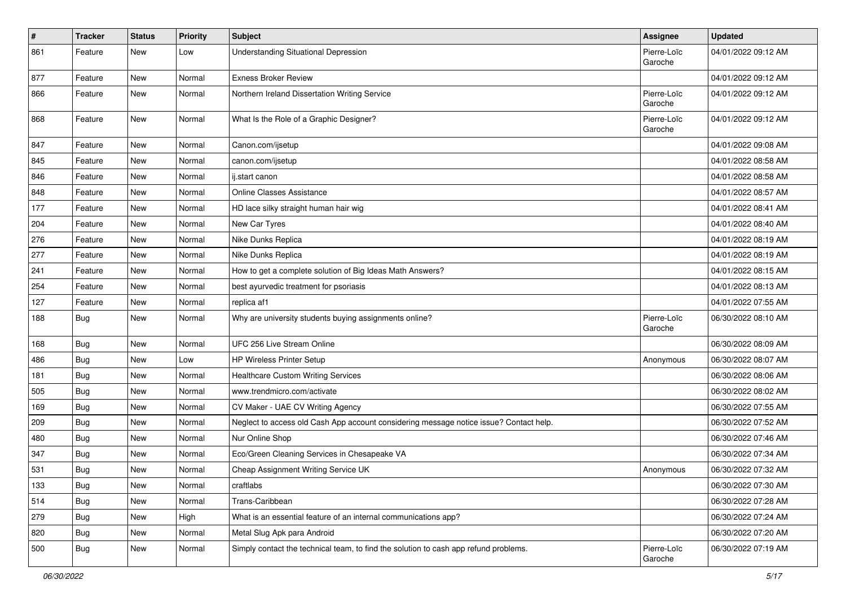| $\pmb{\#}$ | <b>Tracker</b> | <b>Status</b> | <b>Priority</b> | <b>Subject</b>                                                                         | <b>Assignee</b>        | <b>Updated</b>      |
|------------|----------------|---------------|-----------------|----------------------------------------------------------------------------------------|------------------------|---------------------|
| 861        | Feature        | New           | Low             | <b>Understanding Situational Depression</b>                                            | Pierre-Loïc<br>Garoche | 04/01/2022 09:12 AM |
| 877        | Feature        | New           | Normal          | <b>Exness Broker Review</b>                                                            |                        | 04/01/2022 09:12 AM |
| 866        | Feature        | New           | Normal          | Northern Ireland Dissertation Writing Service                                          | Pierre-Loïc<br>Garoche | 04/01/2022 09:12 AM |
| 868        | Feature        | New           | Normal          | What Is the Role of a Graphic Designer?                                                | Pierre-Loïc<br>Garoche | 04/01/2022 09:12 AM |
| 847        | Feature        | New           | Normal          | Canon.com/ijsetup                                                                      |                        | 04/01/2022 09:08 AM |
| 845        | Feature        | New           | Normal          | canon.com/ijsetup                                                                      |                        | 04/01/2022 08:58 AM |
| 846        | Feature        | New           | Normal          | ij.start canon                                                                         |                        | 04/01/2022 08:58 AM |
| 848        | Feature        | New           | Normal          | Online Classes Assistance                                                              |                        | 04/01/2022 08:57 AM |
| 177        | Feature        | New           | Normal          | HD lace silky straight human hair wig                                                  |                        | 04/01/2022 08:41 AM |
| 204        | Feature        | New           | Normal          | New Car Tyres                                                                          |                        | 04/01/2022 08:40 AM |
| 276        | Feature        | New           | Normal          | Nike Dunks Replica                                                                     |                        | 04/01/2022 08:19 AM |
| 277        | Feature        | New           | Normal          | Nike Dunks Replica                                                                     |                        | 04/01/2022 08:19 AM |
| 241        | Feature        | New           | Normal          | How to get a complete solution of Big Ideas Math Answers?                              |                        | 04/01/2022 08:15 AM |
| 254        | Feature        | New           | Normal          | best ayurvedic treatment for psoriasis                                                 |                        | 04/01/2022 08:13 AM |
| 127        | Feature        | New           | Normal          | replica af1                                                                            |                        | 04/01/2022 07:55 AM |
| 188        | <b>Bug</b>     | New           | Normal          | Why are university students buying assignments online?                                 | Pierre-Loïc<br>Garoche | 06/30/2022 08:10 AM |
| 168        | Bug            | New           | Normal          | UFC 256 Live Stream Online                                                             |                        | 06/30/2022 08:09 AM |
| 486        | Bug            | New           | Low             | <b>HP Wireless Printer Setup</b>                                                       | Anonymous              | 06/30/2022 08:07 AM |
| 181        | Bug            | New           | Normal          | Healthcare Custom Writing Services                                                     |                        | 06/30/2022 08:06 AM |
| 505        | Bug            | New           | Normal          | www.trendmicro.com/activate                                                            |                        | 06/30/2022 08:02 AM |
| 169        | <b>Bug</b>     | New           | Normal          | CV Maker - UAE CV Writing Agency                                                       |                        | 06/30/2022 07:55 AM |
| 209        | Bug            | <b>New</b>    | Normal          | Neglect to access old Cash App account considering message notice issue? Contact help. |                        | 06/30/2022 07:52 AM |
| 480        | <b>Bug</b>     | New           | Normal          | Nur Online Shop                                                                        |                        | 06/30/2022 07:46 AM |
| 347        | <b>Bug</b>     | New           | Normal          | Eco/Green Cleaning Services in Chesapeake VA                                           |                        | 06/30/2022 07:34 AM |
| 531        | <b>Bug</b>     | New           | Normal          | Cheap Assignment Writing Service UK                                                    | Anonymous              | 06/30/2022 07:32 AM |
| 133        | Bug            | New           | Normal          | craftlabs                                                                              |                        | 06/30/2022 07:30 AM |
| 514        | <b>Bug</b>     | New           | Normal          | Trans-Caribbean                                                                        |                        | 06/30/2022 07:28 AM |
| 279        | Bug            | New           | High            | What is an essential feature of an internal communications app?                        |                        | 06/30/2022 07:24 AM |
| 820        | <b>Bug</b>     | New           | Normal          | Metal Slug Apk para Android                                                            |                        | 06/30/2022 07:20 AM |
| 500        | <b>Bug</b>     | New           | Normal          | Simply contact the technical team, to find the solution to cash app refund problems.   | Pierre-Loïc<br>Garoche | 06/30/2022 07:19 AM |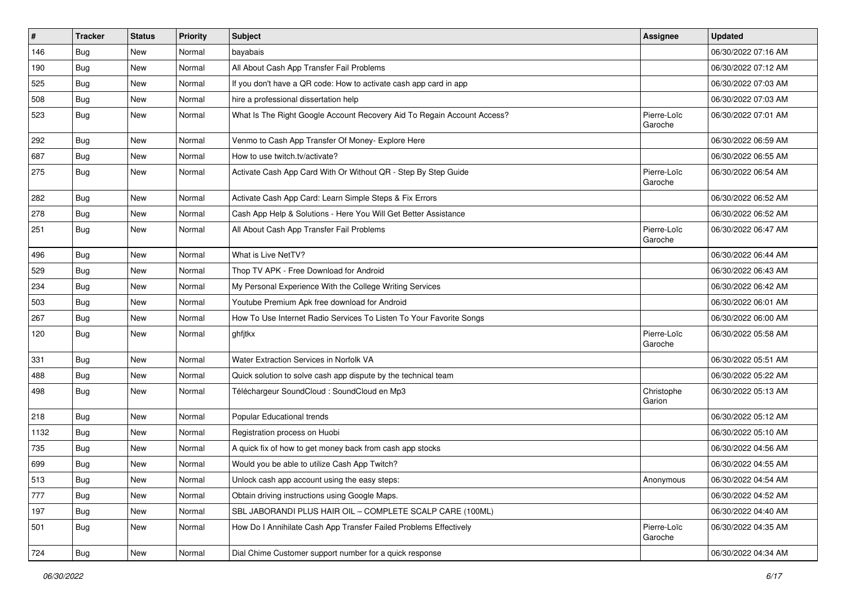| $\sharp$ | <b>Tracker</b> | <b>Status</b> | <b>Priority</b> | Subject                                                                 | Assignee               | <b>Updated</b>      |
|----------|----------------|---------------|-----------------|-------------------------------------------------------------------------|------------------------|---------------------|
| 146      | <b>Bug</b>     | New           | Normal          | bayabais                                                                |                        | 06/30/2022 07:16 AM |
| 190      | Bug            | New           | Normal          | All About Cash App Transfer Fail Problems                               |                        | 06/30/2022 07:12 AM |
| 525      | Bug            | New           | Normal          | If you don't have a QR code: How to activate cash app card in app       |                        | 06/30/2022 07:03 AM |
| 508      | Bug            | New           | Normal          | hire a professional dissertation help                                   |                        | 06/30/2022 07:03 AM |
| 523      | <b>Bug</b>     | New           | Normal          | What Is The Right Google Account Recovery Aid To Regain Account Access? | Pierre-Loïc<br>Garoche | 06/30/2022 07:01 AM |
| 292      | Bug            | New           | Normal          | Venmo to Cash App Transfer Of Money- Explore Here                       |                        | 06/30/2022 06:59 AM |
| 687      | Bug            | New           | Normal          | How to use twitch.tv/activate?                                          |                        | 06/30/2022 06:55 AM |
| 275      | Bug            | New           | Normal          | Activate Cash App Card With Or Without QR - Step By Step Guide          | Pierre-Loïc<br>Garoche | 06/30/2022 06:54 AM |
| 282      | Bug            | New           | Normal          | Activate Cash App Card: Learn Simple Steps & Fix Errors                 |                        | 06/30/2022 06:52 AM |
| 278      | Bug            | New           | Normal          | Cash App Help & Solutions - Here You Will Get Better Assistance         |                        | 06/30/2022 06:52 AM |
| 251      | <b>Bug</b>     | New           | Normal          | All About Cash App Transfer Fail Problems                               | Pierre-Loïc<br>Garoche | 06/30/2022 06:47 AM |
| 496      | Bug            | New           | Normal          | What is Live NetTV?                                                     |                        | 06/30/2022 06:44 AM |
| 529      | <b>Bug</b>     | New           | Normal          | Thop TV APK - Free Download for Android                                 |                        | 06/30/2022 06:43 AM |
| 234      | Bug            | New           | Normal          | My Personal Experience With the College Writing Services                |                        | 06/30/2022 06:42 AM |
| 503      | Bug            | New           | Normal          | Youtube Premium Apk free download for Android                           |                        | 06/30/2022 06:01 AM |
| 267      | <b>Bug</b>     | New           | Normal          | How To Use Internet Radio Services To Listen To Your Favorite Songs     |                        | 06/30/2022 06:00 AM |
| 120      | Bug            | New           | Normal          | ghfjtkx                                                                 | Pierre-Loïc<br>Garoche | 06/30/2022 05:58 AM |
| 331      | <b>Bug</b>     | New           | Normal          | Water Extraction Services in Norfolk VA                                 |                        | 06/30/2022 05:51 AM |
| 488      | Bug            | New           | Normal          | Quick solution to solve cash app dispute by the technical team          |                        | 06/30/2022 05:22 AM |
| 498      | Bug            | New           | Normal          | Téléchargeur SoundCloud : SoundCloud en Mp3                             | Christophe<br>Garion   | 06/30/2022 05:13 AM |
| 218      | Bug            | <b>New</b>    | Normal          | Popular Educational trends                                              |                        | 06/30/2022 05:12 AM |
| 1132     | <b>Bug</b>     | New           | Normal          | Registration process on Huobi                                           |                        | 06/30/2022 05:10 AM |
| 735      | Bug            | New           | Normal          | A quick fix of how to get money back from cash app stocks               |                        | 06/30/2022 04:56 AM |
| 699      | <b>Bug</b>     | New           | Normal          | Would you be able to utilize Cash App Twitch?                           |                        | 06/30/2022 04:55 AM |
| 513      | Bug            | New           | Normal          | Unlock cash app account using the easy steps:                           | Anonymous              | 06/30/2022 04:54 AM |
| 777      | Bug            | New           | Normal          | Obtain driving instructions using Google Maps.                          |                        | 06/30/2022 04:52 AM |
| 197      | <b>Bug</b>     | New           | Normal          | SBL JABORANDI PLUS HAIR OIL - COMPLETE SCALP CARE (100ML)               |                        | 06/30/2022 04:40 AM |
| 501      | Bug            | New           | Normal          | How Do I Annihilate Cash App Transfer Failed Problems Effectively       | Pierre-Loïc<br>Garoche | 06/30/2022 04:35 AM |
| 724      | Bug            | New           | Normal          | Dial Chime Customer support number for a quick response                 |                        | 06/30/2022 04:34 AM |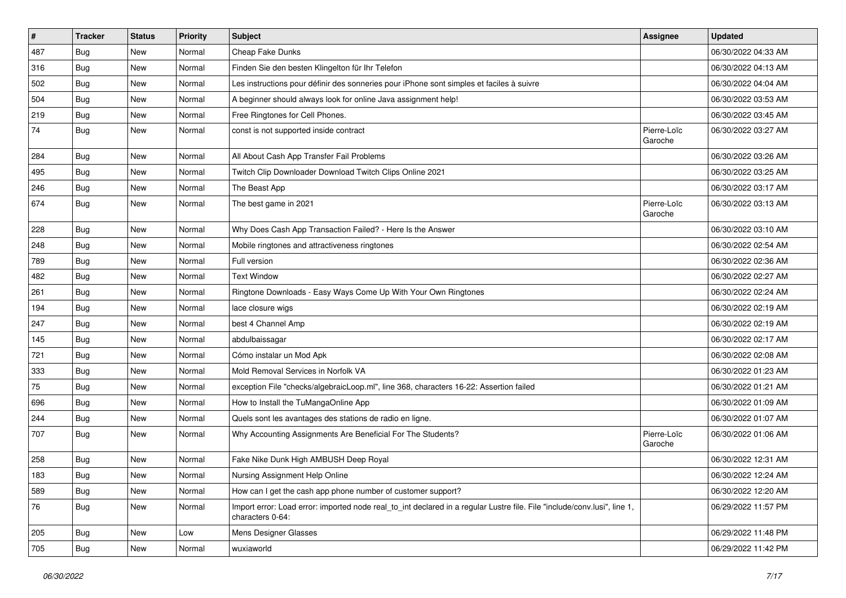| $\sharp$ | <b>Tracker</b> | <b>Status</b> | <b>Priority</b> | Subject                                                                                                                                      | Assignee               | <b>Updated</b>      |
|----------|----------------|---------------|-----------------|----------------------------------------------------------------------------------------------------------------------------------------------|------------------------|---------------------|
| 487      | <b>Bug</b>     | New           | Normal          | Cheap Fake Dunks                                                                                                                             |                        | 06/30/2022 04:33 AM |
| 316      | Bug            | New           | Normal          | Finden Sie den besten Klingelton für Ihr Telefon                                                                                             |                        | 06/30/2022 04:13 AM |
| 502      | Bug            | New           | Normal          | Les instructions pour définir des sonneries pour iPhone sont simples et faciles à suivre                                                     |                        | 06/30/2022 04:04 AM |
| 504      | <b>Bug</b>     | New           | Normal          | A beginner should always look for online Java assignment help!                                                                               |                        | 06/30/2022 03:53 AM |
| 219      | Bug            | <b>New</b>    | Normal          | Free Ringtones for Cell Phones.                                                                                                              |                        | 06/30/2022 03:45 AM |
| 74       | <b>Bug</b>     | New           | Normal          | const is not supported inside contract                                                                                                       | Pierre-Loïc<br>Garoche | 06/30/2022 03:27 AM |
| 284      | Bug            | New           | Normal          | All About Cash App Transfer Fail Problems                                                                                                    |                        | 06/30/2022 03:26 AM |
| 495      | Bug            | New           | Normal          | Twitch Clip Downloader Download Twitch Clips Online 2021                                                                                     |                        | 06/30/2022 03:25 AM |
| 246      | <b>Bug</b>     | New           | Normal          | The Beast App                                                                                                                                |                        | 06/30/2022 03:17 AM |
| 674      | Bug            | New           | Normal          | The best game in 2021                                                                                                                        | Pierre-Loïc<br>Garoche | 06/30/2022 03:13 AM |
| 228      | Bug            | <b>New</b>    | Normal          | Why Does Cash App Transaction Failed? - Here Is the Answer                                                                                   |                        | 06/30/2022 03:10 AM |
| 248      | <b>Bug</b>     | New           | Normal          | Mobile ringtones and attractiveness ringtones                                                                                                |                        | 06/30/2022 02:54 AM |
| 789      | <b>Bug</b>     | New           | Normal          | Full version                                                                                                                                 |                        | 06/30/2022 02:36 AM |
| 482      | Bug            | New           | Normal          | <b>Text Window</b>                                                                                                                           |                        | 06/30/2022 02:27 AM |
| 261      | <b>Bug</b>     | New           | Normal          | Ringtone Downloads - Easy Ways Come Up With Your Own Ringtones                                                                               |                        | 06/30/2022 02:24 AM |
| 194      | Bug            | <b>New</b>    | Normal          | lace closure wigs                                                                                                                            |                        | 06/30/2022 02:19 AM |
| 247      | <b>Bug</b>     | New           | Normal          | best 4 Channel Amp                                                                                                                           |                        | 06/30/2022 02:19 AM |
| 145      | Bug            | New           | Normal          | abdulbaissagar                                                                                                                               |                        | 06/30/2022 02:17 AM |
| 721      | <b>Bug</b>     | New           | Normal          | Cómo instalar un Mod Apk                                                                                                                     |                        | 06/30/2022 02:08 AM |
| 333      | Bug            | New           | Normal          | Mold Removal Services in Norfolk VA                                                                                                          |                        | 06/30/2022 01:23 AM |
| 75       | Bug            | New           | Normal          | exception File "checks/algebraicLoop.ml", line 368, characters 16-22: Assertion failed                                                       |                        | 06/30/2022 01:21 AM |
| 696      | <b>Bug</b>     | New           | Normal          | How to Install the TuMangaOnline App                                                                                                         |                        | 06/30/2022 01:09 AM |
| 244      | Bug            | New           | Normal          | Quels sont les avantages des stations de radio en ligne.                                                                                     |                        | 06/30/2022 01:07 AM |
| 707      | <b>Bug</b>     | New           | Normal          | Why Accounting Assignments Are Beneficial For The Students?                                                                                  | Pierre-Loïc<br>Garoche | 06/30/2022 01:06 AM |
| 258      | Bug            | New           | Normal          | Fake Nike Dunk High AMBUSH Deep Royal                                                                                                        |                        | 06/30/2022 12:31 AM |
| 183      | Bug            | New           | Normal          | Nursing Assignment Help Online                                                                                                               |                        | 06/30/2022 12:24 AM |
| 589      | Bug            | New           | Normal          | How can I get the cash app phone number of customer support?                                                                                 |                        | 06/30/2022 12:20 AM |
| 76       | <b>Bug</b>     | New           | Normal          | Import error: Load error: imported node real_to_int declared in a regular Lustre file. File "include/conv.lusi", line 1,<br>characters 0-64: |                        | 06/29/2022 11:57 PM |
| 205      | Bug            | New           | Low             | Mens Designer Glasses                                                                                                                        |                        | 06/29/2022 11:48 PM |
| 705      | <b>Bug</b>     | New           | Normal          | wuxiaworld                                                                                                                                   |                        | 06/29/2022 11:42 PM |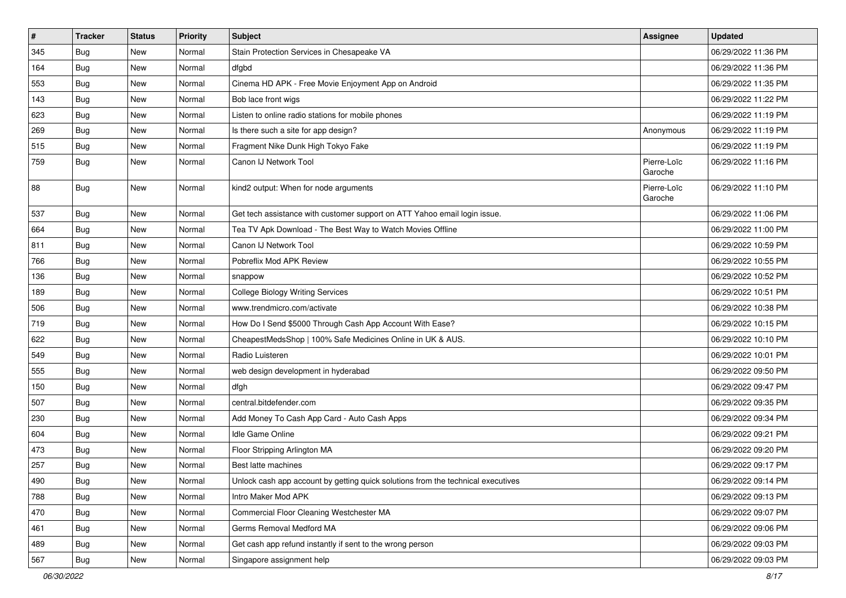| $\vert$ # | <b>Tracker</b> | <b>Status</b> | <b>Priority</b> | <b>Subject</b>                                                                   | Assignee               | <b>Updated</b>      |
|-----------|----------------|---------------|-----------------|----------------------------------------------------------------------------------|------------------------|---------------------|
| 345       | <b>Bug</b>     | New           | Normal          | Stain Protection Services in Chesapeake VA                                       |                        | 06/29/2022 11:36 PM |
| 164       | Bug            | New           | Normal          | dfgbd                                                                            |                        | 06/29/2022 11:36 PM |
| 553       | Bug            | New           | Normal          | Cinema HD APK - Free Movie Enjoyment App on Android                              |                        | 06/29/2022 11:35 PM |
| 143       | <b>Bug</b>     | New           | Normal          | Bob lace front wigs                                                              |                        | 06/29/2022 11:22 PM |
| 623       | Bug            | New           | Normal          | Listen to online radio stations for mobile phones                                |                        | 06/29/2022 11:19 PM |
| 269       | <b>Bug</b>     | New           | Normal          | Is there such a site for app design?                                             | Anonymous              | 06/29/2022 11:19 PM |
| 515       | Bug            | New           | Normal          | Fragment Nike Dunk High Tokyo Fake                                               |                        | 06/29/2022 11:19 PM |
| 759       | <b>Bug</b>     | New           | Normal          | Canon IJ Network Tool                                                            | Pierre-Loïc<br>Garoche | 06/29/2022 11:16 PM |
| 88        | <b>Bug</b>     | New           | Normal          | kind2 output: When for node arguments                                            | Pierre-Loïc<br>Garoche | 06/29/2022 11:10 PM |
| 537       | Bug            | <b>New</b>    | Normal          | Get tech assistance with customer support on ATT Yahoo email login issue.        |                        | 06/29/2022 11:06 PM |
| 664       | Bug            | New           | Normal          | Tea TV Apk Download - The Best Way to Watch Movies Offline                       |                        | 06/29/2022 11:00 PM |
| 811       | <b>Bug</b>     | New           | Normal          | Canon IJ Network Tool                                                            |                        | 06/29/2022 10:59 PM |
| 766       | Bug            | New           | Normal          | Pobreflix Mod APK Review                                                         |                        | 06/29/2022 10:55 PM |
| 136       | Bug            | New           | Normal          | snappow                                                                          |                        | 06/29/2022 10:52 PM |
| 189       | <b>Bug</b>     | New           | Normal          | <b>College Biology Writing Services</b>                                          |                        | 06/29/2022 10:51 PM |
| 506       | Bug            | New           | Normal          | www.trendmicro.com/activate                                                      |                        | 06/29/2022 10:38 PM |
| 719       | <b>Bug</b>     | New           | Normal          | How Do I Send \$5000 Through Cash App Account With Ease?                         |                        | 06/29/2022 10:15 PM |
| 622       | <b>Bug</b>     | New           | Normal          | CheapestMedsShop   100% Safe Medicines Online in UK & AUS.                       |                        | 06/29/2022 10:10 PM |
| 549       | Bug            | New           | Normal          | Radio Luisteren                                                                  |                        | 06/29/2022 10:01 PM |
| 555       | Bug            | New           | Normal          | web design development in hyderabad                                              |                        | 06/29/2022 09:50 PM |
| 150       | Bug            | New           | Normal          | dfgh                                                                             |                        | 06/29/2022 09:47 PM |
| 507       | <b>Bug</b>     | New           | Normal          | central.bitdefender.com                                                          |                        | 06/29/2022 09:35 PM |
| 230       | <b>Bug</b>     | New           | Normal          | Add Money To Cash App Card - Auto Cash Apps                                      |                        | 06/29/2022 09:34 PM |
| 604       | Bug            | New           | Normal          | Idle Game Online                                                                 |                        | 06/29/2022 09:21 PM |
| 473       | <b>Bug</b>     | New           | Normal          | Floor Stripping Arlington MA                                                     |                        | 06/29/2022 09:20 PM |
| 257       | <b>Bug</b>     | New           | Normal          | Best latte machines                                                              |                        | 06/29/2022 09:17 PM |
| 490       | Bug            | New           | Normal          | Unlock cash app account by getting quick solutions from the technical executives |                        | 06/29/2022 09:14 PM |
| 788       | <b>Bug</b>     | New           | Normal          | Intro Maker Mod APK                                                              |                        | 06/29/2022 09:13 PM |
| 470       | <b>Bug</b>     | New           | Normal          | Commercial Floor Cleaning Westchester MA                                         |                        | 06/29/2022 09:07 PM |
| 461       | <b>Bug</b>     | New           | Normal          | Germs Removal Medford MA                                                         |                        | 06/29/2022 09:06 PM |
| 489       | Bug            | New           | Normal          | Get cash app refund instantly if sent to the wrong person                        |                        | 06/29/2022 09:03 PM |
| 567       | Bug            | New           | Normal          | Singapore assignment help                                                        |                        | 06/29/2022 09:03 PM |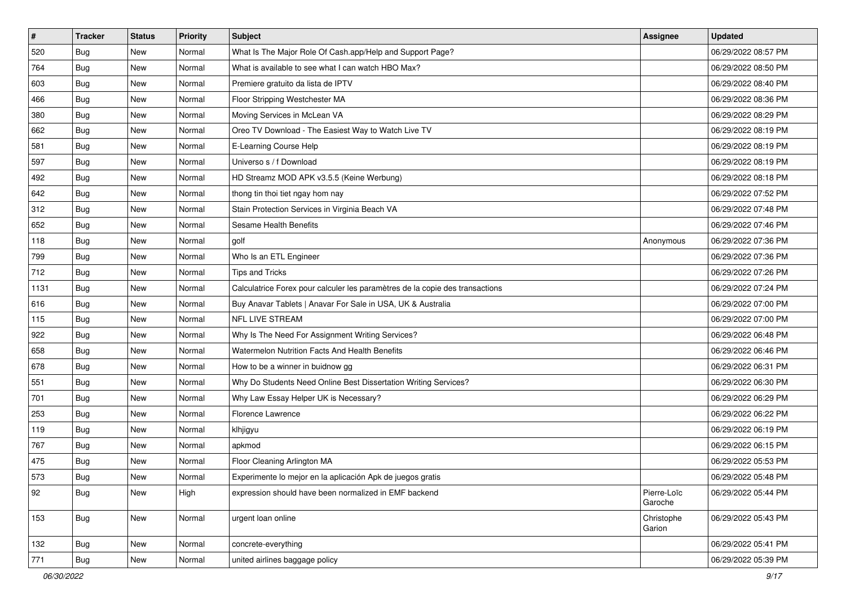| $\vert$ # | <b>Tracker</b> | <b>Status</b> | Priority | <b>Subject</b>                                                               | <b>Assignee</b>        | <b>Updated</b>      |
|-----------|----------------|---------------|----------|------------------------------------------------------------------------------|------------------------|---------------------|
| 520       | <b>Bug</b>     | New           | Normal   | What Is The Major Role Of Cash.app/Help and Support Page?                    |                        | 06/29/2022 08:57 PM |
| 764       | Bug            | New           | Normal   | What is available to see what I can watch HBO Max?                           |                        | 06/29/2022 08:50 PM |
| 603       | Bug            | New           | Normal   | Premiere gratuito da lista de IPTV                                           |                        | 06/29/2022 08:40 PM |
| 466       | Bug            | New           | Normal   | Floor Stripping Westchester MA                                               |                        | 06/29/2022 08:36 PM |
| 380       | Bug            | New           | Normal   | Moving Services in McLean VA                                                 |                        | 06/29/2022 08:29 PM |
| 662       | <b>Bug</b>     | New           | Normal   | Oreo TV Download - The Easiest Way to Watch Live TV                          |                        | 06/29/2022 08:19 PM |
| 581       | Bug            | New           | Normal   | E-Learning Course Help                                                       |                        | 06/29/2022 08:19 PM |
| 597       | Bug            | New           | Normal   | Universo s / f Download                                                      |                        | 06/29/2022 08:19 PM |
| 492       | Bug            | New           | Normal   | HD Streamz MOD APK v3.5.5 (Keine Werbung)                                    |                        | 06/29/2022 08:18 PM |
| 642       | <b>Bug</b>     | New           | Normal   | thong tin thoi tiet ngay hom nay                                             |                        | 06/29/2022 07:52 PM |
| 312       | <b>Bug</b>     | New           | Normal   | Stain Protection Services in Virginia Beach VA                               |                        | 06/29/2022 07:48 PM |
| 652       | Bug            | New           | Normal   | Sesame Health Benefits                                                       |                        | 06/29/2022 07:46 PM |
| 118       | Bug            | New           | Normal   | golf                                                                         | Anonymous              | 06/29/2022 07:36 PM |
| 799       | Bug            | New           | Normal   | Who Is an ETL Engineer                                                       |                        | 06/29/2022 07:36 PM |
| 712       | Bug            | New           | Normal   | Tips and Tricks                                                              |                        | 06/29/2022 07:26 PM |
| 1131      | Bug            | New           | Normal   | Calculatrice Forex pour calculer les paramètres de la copie des transactions |                        | 06/29/2022 07:24 PM |
| 616       | Bug            | New           | Normal   | Buy Anavar Tablets   Anavar For Sale in USA, UK & Australia                  |                        | 06/29/2022 07:00 PM |
| 115       | Bug            | New           | Normal   | NFL LIVE STREAM                                                              |                        | 06/29/2022 07:00 PM |
| 922       | Bug            | New           | Normal   | Why Is The Need For Assignment Writing Services?                             |                        | 06/29/2022 06:48 PM |
| 658       | Bug            | New           | Normal   | Watermelon Nutrition Facts And Health Benefits                               |                        | 06/29/2022 06:46 PM |
| 678       | <b>Bug</b>     | New           | Normal   | How to be a winner in buidnow gg                                             |                        | 06/29/2022 06:31 PM |
| 551       | <b>Bug</b>     | New           | Normal   | Why Do Students Need Online Best Dissertation Writing Services?              |                        | 06/29/2022 06:30 PM |
| 701       | Bug            | New           | Normal   | Why Law Essay Helper UK is Necessary?                                        |                        | 06/29/2022 06:29 PM |
| 253       | <b>Bug</b>     | New           | Normal   | Florence Lawrence                                                            |                        | 06/29/2022 06:22 PM |
| 119       | Bug            | New           | Normal   | klhjigyu                                                                     |                        | 06/29/2022 06:19 PM |
| 767       | Bug            | New           | Normal   | apkmod                                                                       |                        | 06/29/2022 06:15 PM |
| 475       | <b>Bug</b>     | New           | Normal   | Floor Cleaning Arlington MA                                                  |                        | 06/29/2022 05:53 PM |
| 573       | <b>Bug</b>     | New           | Normal   | Experimente lo mejor en la aplicación Apk de juegos gratis                   |                        | 06/29/2022 05:48 PM |
| 92        | Bug            | New           | High     | expression should have been normalized in EMF backend                        | Pierre-Loïc<br>Garoche | 06/29/2022 05:44 PM |
| 153       | <b>Bug</b>     | New           | Normal   | urgent loan online                                                           | Christophe<br>Garion   | 06/29/2022 05:43 PM |
| 132       | Bug            | New           | Normal   | concrete-everything                                                          |                        | 06/29/2022 05:41 PM |
| 771       | <b>Bug</b>     | New           | Normal   | united airlines baggage policy                                               |                        | 06/29/2022 05:39 PM |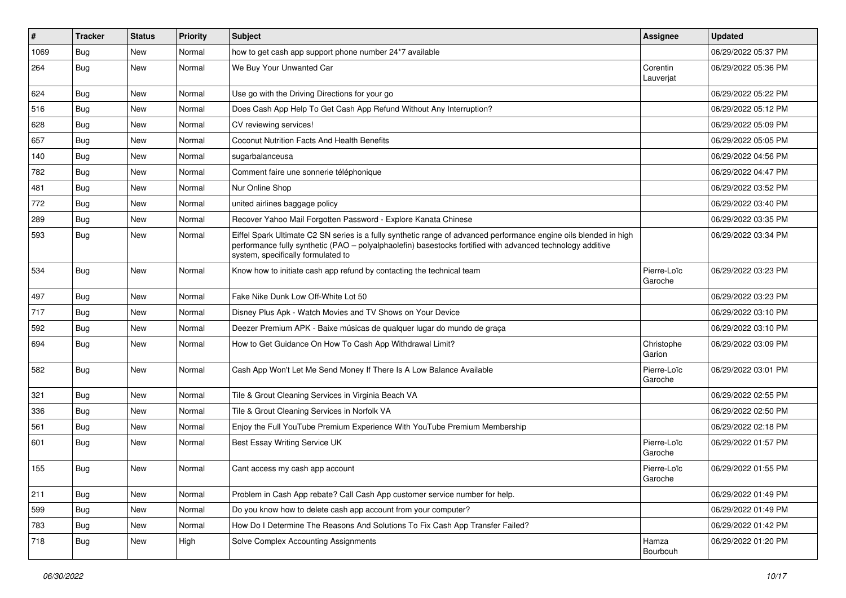| #    | <b>Tracker</b> | <b>Status</b> | <b>Priority</b> | <b>Subject</b>                                                                                                                                                                                                                                                        | <b>Assignee</b>        | <b>Updated</b>      |
|------|----------------|---------------|-----------------|-----------------------------------------------------------------------------------------------------------------------------------------------------------------------------------------------------------------------------------------------------------------------|------------------------|---------------------|
| 1069 | <b>Bug</b>     | New           | Normal          | how to get cash app support phone number 24*7 available                                                                                                                                                                                                               |                        | 06/29/2022 05:37 PM |
| 264  | Bug            | New           | Normal          | We Buy Your Unwanted Car                                                                                                                                                                                                                                              | Corentin<br>Lauverjat  | 06/29/2022 05:36 PM |
| 624  | Bug            | New           | Normal          | Use go with the Driving Directions for your go                                                                                                                                                                                                                        |                        | 06/29/2022 05:22 PM |
| 516  | Bug            | <b>New</b>    | Normal          | Does Cash App Help To Get Cash App Refund Without Any Interruption?                                                                                                                                                                                                   |                        | 06/29/2022 05:12 PM |
| 628  | <b>Bug</b>     | New           | Normal          | CV reviewing services!                                                                                                                                                                                                                                                |                        | 06/29/2022 05:09 PM |
| 657  | <b>Bug</b>     | New           | Normal          | <b>Coconut Nutrition Facts And Health Benefits</b>                                                                                                                                                                                                                    |                        | 06/29/2022 05:05 PM |
| 140  | Bug            | New           | Normal          | sugarbalanceusa                                                                                                                                                                                                                                                       |                        | 06/29/2022 04:56 PM |
| 782  | Bug            | New           | Normal          | Comment faire une sonnerie téléphonique                                                                                                                                                                                                                               |                        | 06/29/2022 04:47 PM |
| 481  | <b>Bug</b>     | New           | Normal          | Nur Online Shop                                                                                                                                                                                                                                                       |                        | 06/29/2022 03:52 PM |
| 772  | <b>Bug</b>     | New           | Normal          | united airlines baggage policy                                                                                                                                                                                                                                        |                        | 06/29/2022 03:40 PM |
| 289  | Bug            | New           | Normal          | Recover Yahoo Mail Forgotten Password - Explore Kanata Chinese                                                                                                                                                                                                        |                        | 06/29/2022 03:35 PM |
| 593  | <b>Bug</b>     | New           | Normal          | Eiffel Spark Ultimate C2 SN series is a fully synthetic range of advanced performance engine oils blended in high<br>performance fully synthetic (PAO - polyalphaolefin) basestocks fortified with advanced technology additive<br>system, specifically formulated to |                        | 06/29/2022 03:34 PM |
| 534  | Bug            | New           | Normal          | Know how to initiate cash app refund by contacting the technical team                                                                                                                                                                                                 | Pierre-Loïc<br>Garoche | 06/29/2022 03:23 PM |
| 497  | Bug            | <b>New</b>    | Normal          | Fake Nike Dunk Low Off-White Lot 50                                                                                                                                                                                                                                   |                        | 06/29/2022 03:23 PM |
| 717  | Bug            | New           | Normal          | Disney Plus Apk - Watch Movies and TV Shows on Your Device                                                                                                                                                                                                            |                        | 06/29/2022 03:10 PM |
| 592  | Bug            | New           | Normal          | Deezer Premium APK - Baixe músicas de qualquer lugar do mundo de graça                                                                                                                                                                                                |                        | 06/29/2022 03:10 PM |
| 694  | <b>Bug</b>     | <b>New</b>    | Normal          | How to Get Guidance On How To Cash App Withdrawal Limit?                                                                                                                                                                                                              | Christophe<br>Garion   | 06/29/2022 03:09 PM |
| 582  | Bug            | New           | Normal          | Cash App Won't Let Me Send Money If There Is A Low Balance Available                                                                                                                                                                                                  | Pierre-Loïc<br>Garoche | 06/29/2022 03:01 PM |
| 321  | Bug            | New           | Normal          | Tile & Grout Cleaning Services in Virginia Beach VA                                                                                                                                                                                                                   |                        | 06/29/2022 02:55 PM |
| 336  | Bug            | New           | Normal          | Tile & Grout Cleaning Services in Norfolk VA                                                                                                                                                                                                                          |                        | 06/29/2022 02:50 PM |
| 561  | <b>Bug</b>     | New           | Normal          | Enjoy the Full YouTube Premium Experience With YouTube Premium Membership                                                                                                                                                                                             |                        | 06/29/2022 02:18 PM |
| 601  | Bug            | New           | Normal          | Best Essay Writing Service UK                                                                                                                                                                                                                                         | Pierre-Loïc<br>Garoche | 06/29/2022 01:57 PM |
| 155  | <b>Bug</b>     | New           | Normal          | Cant access my cash app account                                                                                                                                                                                                                                       | Pierre-Loïc<br>Garoche | 06/29/2022 01:55 PM |
| 211  | Bug            | New           | Normal          | Problem in Cash App rebate? Call Cash App customer service number for help.                                                                                                                                                                                           |                        | 06/29/2022 01:49 PM |
| 599  | Bug            | New           | Normal          | Do you know how to delete cash app account from your computer?                                                                                                                                                                                                        |                        | 06/29/2022 01:49 PM |
| 783  | <b>Bug</b>     | New           | Normal          | How Do I Determine The Reasons And Solutions To Fix Cash App Transfer Failed?                                                                                                                                                                                         |                        | 06/29/2022 01:42 PM |
| 718  | <b>Bug</b>     | New           | High            | Solve Complex Accounting Assignments                                                                                                                                                                                                                                  | Hamza<br>Bourbouh      | 06/29/2022 01:20 PM |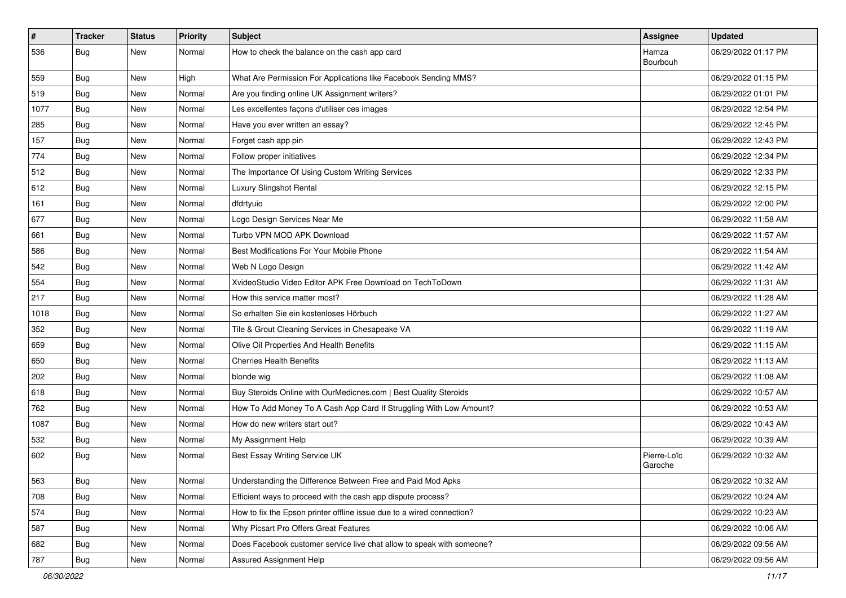| $\vert$ # | <b>Tracker</b> | <b>Status</b> | <b>Priority</b> | Subject                                                               | <b>Assignee</b>        | <b>Updated</b>      |
|-----------|----------------|---------------|-----------------|-----------------------------------------------------------------------|------------------------|---------------------|
| 536       | <b>Bug</b>     | New           | Normal          | How to check the balance on the cash app card                         | Hamza<br>Bourbouh      | 06/29/2022 01:17 PM |
| 559       | Bug            | New           | High            | What Are Permission For Applications like Facebook Sending MMS?       |                        | 06/29/2022 01:15 PM |
| 519       | Bug            | New           | Normal          | Are you finding online UK Assignment writers?                         |                        | 06/29/2022 01:01 PM |
| 1077      | Bug            | New           | Normal          | Les excellentes façons d'utiliser ces images                          |                        | 06/29/2022 12:54 PM |
| 285       | <b>Bug</b>     | New           | Normal          | Have you ever written an essay?                                       |                        | 06/29/2022 12:45 PM |
| 157       | <b>Bug</b>     | New           | Normal          | Forget cash app pin                                                   |                        | 06/29/2022 12:43 PM |
| 774       | Bug            | New           | Normal          | Follow proper initiatives                                             |                        | 06/29/2022 12:34 PM |
| 512       | <b>Bug</b>     | New           | Normal          | The Importance Of Using Custom Writing Services                       |                        | 06/29/2022 12:33 PM |
| 612       | Bug            | New           | Normal          | Luxury Slingshot Rental                                               |                        | 06/29/2022 12:15 PM |
| 161       | <b>Bug</b>     | New           | Normal          | dfdrtyuio                                                             |                        | 06/29/2022 12:00 PM |
| 677       | Bug            | New           | Normal          | Logo Design Services Near Me                                          |                        | 06/29/2022 11:58 AM |
| 661       | <b>Bug</b>     | New           | Normal          | Turbo VPN MOD APK Download                                            |                        | 06/29/2022 11:57 AM |
| 586       | <b>Bug</b>     | New           | Normal          | Best Modifications For Your Mobile Phone                              |                        | 06/29/2022 11:54 AM |
| 542       | Bug            | New           | Normal          | Web N Logo Design                                                     |                        | 06/29/2022 11:42 AM |
| 554       | <b>Bug</b>     | New           | Normal          | XvideoStudio Video Editor APK Free Download on TechToDown             |                        | 06/29/2022 11:31 AM |
| 217       | Bug            | New           | Normal          | How this service matter most?                                         |                        | 06/29/2022 11:28 AM |
| 1018      | Bug            | New           | Normal          | So erhalten Sie ein kostenloses Hörbuch                               |                        | 06/29/2022 11:27 AM |
| 352       | <b>Bug</b>     | New           | Normal          | Tile & Grout Cleaning Services in Chesapeake VA                       |                        | 06/29/2022 11:19 AM |
| 659       | <b>Bug</b>     | New           | Normal          | Olive Oil Properties And Health Benefits                              |                        | 06/29/2022 11:15 AM |
| 650       | Bug            | New           | Normal          | <b>Cherries Health Benefits</b>                                       |                        | 06/29/2022 11:13 AM |
| 202       | <b>Bug</b>     | New           | Normal          | blonde wig                                                            |                        | 06/29/2022 11:08 AM |
| 618       | Bug            | New           | Normal          | Buy Steroids Online with OurMedicnes.com   Best Quality Steroids      |                        | 06/29/2022 10:57 AM |
| 762       | <b>Bug</b>     | New           | Normal          | How To Add Money To A Cash App Card If Struggling With Low Amount?    |                        | 06/29/2022 10:53 AM |
| 1087      | Bug            | New           | Normal          | How do new writers start out?                                         |                        | 06/29/2022 10:43 AM |
| 532       | Bug            | New           | Normal          | My Assignment Help                                                    |                        | 06/29/2022 10:39 AM |
| 602       | Bug            | New           | Normal          | Best Essay Writing Service UK                                         | Pierre-Loïc<br>Garoche | 06/29/2022 10:32 AM |
| 563       | Bug            | New           | Normal          | Understanding the Difference Between Free and Paid Mod Apks           |                        | 06/29/2022 10:32 AM |
| 708       | <b>Bug</b>     | New           | Normal          | Efficient ways to proceed with the cash app dispute process?          |                        | 06/29/2022 10:24 AM |
| 574       | Bug            | New           | Normal          | How to fix the Epson printer offline issue due to a wired connection? |                        | 06/29/2022 10:23 AM |
| 587       | <b>Bug</b>     | New           | Normal          | Why Picsart Pro Offers Great Features                                 |                        | 06/29/2022 10:06 AM |
| 682       | <b>Bug</b>     | New           | Normal          | Does Facebook customer service live chat allow to speak with someone? |                        | 06/29/2022 09:56 AM |
| 787       | Bug            | New           | Normal          | Assured Assignment Help                                               |                        | 06/29/2022 09:56 AM |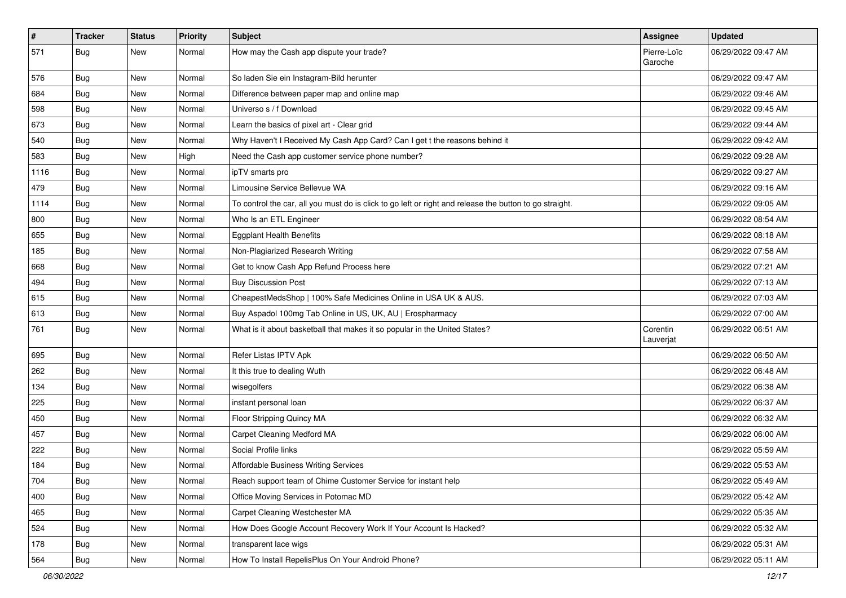| $\vert$ # | <b>Tracker</b> | <b>Status</b> | Priority | Subject                                                                                                 | Assignee               | <b>Updated</b>      |
|-----------|----------------|---------------|----------|---------------------------------------------------------------------------------------------------------|------------------------|---------------------|
| 571       | <b>Bug</b>     | New           | Normal   | How may the Cash app dispute your trade?                                                                | Pierre-Loïc<br>Garoche | 06/29/2022 09:47 AM |
| 576       | Bug            | New           | Normal   | So laden Sie ein Instagram-Bild herunter                                                                |                        | 06/29/2022 09:47 AM |
| 684       | Bug            | New           | Normal   | Difference between paper map and online map                                                             |                        | 06/29/2022 09:46 AM |
| 598       | Bug            | New           | Normal   | Universo s / f Download                                                                                 |                        | 06/29/2022 09:45 AM |
| 673       | <b>Bug</b>     | New           | Normal   | Learn the basics of pixel art - Clear grid                                                              |                        | 06/29/2022 09:44 AM |
| 540       | Bug            | New           | Normal   | Why Haven't I Received My Cash App Card? Can I get t the reasons behind it                              |                        | 06/29/2022 09:42 AM |
| 583       | Bug            | New           | High     | Need the Cash app customer service phone number?                                                        |                        | 06/29/2022 09:28 AM |
| 1116      | <b>Bug</b>     | New           | Normal   | ipTV smarts pro                                                                                         |                        | 06/29/2022 09:27 AM |
| 479       | Bug            | New           | Normal   | Limousine Service Bellevue WA                                                                           |                        | 06/29/2022 09:16 AM |
| 1114      | <b>Bug</b>     | New           | Normal   | To control the car, all you must do is click to go left or right and release the button to go straight. |                        | 06/29/2022 09:05 AM |
| 800       | Bug            | New           | Normal   | Who Is an ETL Engineer                                                                                  |                        | 06/29/2022 08:54 AM |
| 655       | Bug            | New           | Normal   | <b>Eggplant Health Benefits</b>                                                                         |                        | 06/29/2022 08:18 AM |
| 185       | Bug            | New           | Normal   | Non-Plagiarized Research Writing                                                                        |                        | 06/29/2022 07:58 AM |
| 668       | Bug            | New           | Normal   | Get to know Cash App Refund Process here                                                                |                        | 06/29/2022 07:21 AM |
| 494       | Bug            | New           | Normal   | <b>Buy Discussion Post</b>                                                                              |                        | 06/29/2022 07:13 AM |
| 615       | Bug            | New           | Normal   | CheapestMedsShop   100% Safe Medicines Online in USA UK & AUS.                                          |                        | 06/29/2022 07:03 AM |
| 613       | Bug            | New           | Normal   | Buy Aspadol 100mg Tab Online in US, UK, AU   Erospharmacy                                               |                        | 06/29/2022 07:00 AM |
| 761       | <b>Bug</b>     | New           | Normal   | What is it about basketball that makes it so popular in the United States?                              | Corentin<br>Lauverjat  | 06/29/2022 06:51 AM |
| 695       | Bug            | <b>New</b>    | Normal   | Refer Listas IPTV Apk                                                                                   |                        | 06/29/2022 06:50 AM |
| 262       | <b>Bug</b>     | New           | Normal   | It this true to dealing Wuth                                                                            |                        | 06/29/2022 06:48 AM |
| 134       | Bug            | New           | Normal   | wisegolfers                                                                                             |                        | 06/29/2022 06:38 AM |
| 225       | <b>Bug</b>     | New           | Normal   | instant personal loan                                                                                   |                        | 06/29/2022 06:37 AM |
| 450       | <b>Bug</b>     | New           | Normal   | Floor Stripping Quincy MA                                                                               |                        | 06/29/2022 06:32 AM |
| 457       | <b>Bug</b>     | New           | Normal   | Carpet Cleaning Medford MA                                                                              |                        | 06/29/2022 06:00 AM |
| 222       | <b>Bug</b>     | New           | Normal   | Social Profile links                                                                                    |                        | 06/29/2022 05:59 AM |
| 184       | <b>Bug</b>     | New           | Normal   | Affordable Business Writing Services                                                                    |                        | 06/29/2022 05:53 AM |
| 704       | Bug            | New           | Normal   | Reach support team of Chime Customer Service for instant help                                           |                        | 06/29/2022 05:49 AM |
| 400       | <b>Bug</b>     | New           | Normal   | Office Moving Services in Potomac MD                                                                    |                        | 06/29/2022 05:42 AM |
| 465       | Bug            | New           | Normal   | Carpet Cleaning Westchester MA                                                                          |                        | 06/29/2022 05:35 AM |
| 524       | <b>Bug</b>     | New           | Normal   | How Does Google Account Recovery Work If Your Account Is Hacked?                                        |                        | 06/29/2022 05:32 AM |
| 178       | Bug            | New           | Normal   | transparent lace wigs                                                                                   |                        | 06/29/2022 05:31 AM |
| 564       | <b>Bug</b>     | New           | Normal   | How To Install RepelisPlus On Your Android Phone?                                                       |                        | 06/29/2022 05:11 AM |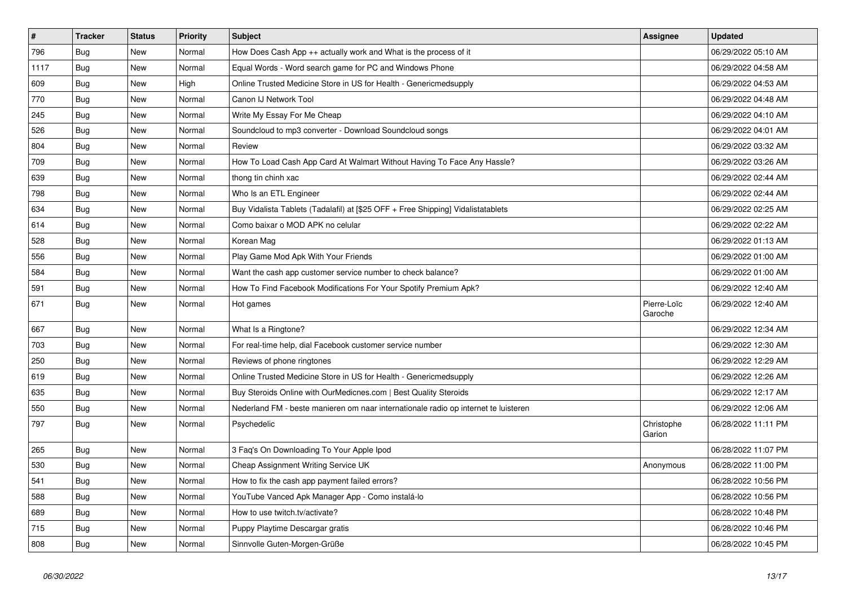| $\vert$ # | <b>Tracker</b> | <b>Status</b> | <b>Priority</b> | <b>Subject</b>                                                                      | Assignee               | <b>Updated</b>      |
|-----------|----------------|---------------|-----------------|-------------------------------------------------------------------------------------|------------------------|---------------------|
| 796       | Bug            | <b>New</b>    | Normal          | How Does Cash App ++ actually work and What is the process of it                    |                        | 06/29/2022 05:10 AM |
| 1117      | <b>Bug</b>     | <b>New</b>    | Normal          | Equal Words - Word search game for PC and Windows Phone                             |                        | 06/29/2022 04:58 AM |
| 609       | Bug            | <b>New</b>    | High            | Online Trusted Medicine Store in US for Health - Genericmedsupply                   |                        | 06/29/2022 04:53 AM |
| 770       | <b>Bug</b>     | New           | Normal          | Canon IJ Network Tool                                                               |                        | 06/29/2022 04:48 AM |
| 245       | <b>Bug</b>     | <b>New</b>    | Normal          | Write My Essay For Me Cheap                                                         |                        | 06/29/2022 04:10 AM |
| 526       | Bug            | New           | Normal          | Soundcloud to mp3 converter - Download Soundcloud songs                             |                        | 06/29/2022 04:01 AM |
| 804       | Bug            | New           | Normal          | Review                                                                              |                        | 06/29/2022 03:32 AM |
| 709       | <b>Bug</b>     | <b>New</b>    | Normal          | How To Load Cash App Card At Walmart Without Having To Face Any Hassle?             |                        | 06/29/2022 03:26 AM |
| 639       | <b>Bug</b>     | <b>New</b>    | Normal          | thong tin chinh xac                                                                 |                        | 06/29/2022 02:44 AM |
| 798       | Bug            | <b>New</b>    | Normal          | Who Is an ETL Engineer                                                              |                        | 06/29/2022 02:44 AM |
| 634       | <b>Bug</b>     | New           | Normal          | Buy Vidalista Tablets (Tadalafil) at [\$25 OFF + Free Shipping] Vidalistatablets    |                        | 06/29/2022 02:25 AM |
| 614       | Bug            | New           | Normal          | Como baixar o MOD APK no celular                                                    |                        | 06/29/2022 02:22 AM |
| 528       | Bug            | New           | Normal          | Korean Mag                                                                          |                        | 06/29/2022 01:13 AM |
| 556       | Bug            | New           | Normal          | Play Game Mod Apk With Your Friends                                                 |                        | 06/29/2022 01:00 AM |
| 584       | Bug            | New           | Normal          | Want the cash app customer service number to check balance?                         |                        | 06/29/2022 01:00 AM |
| 591       | <b>Bug</b>     | <b>New</b>    | Normal          | How To Find Facebook Modifications For Your Spotify Premium Apk?                    |                        | 06/29/2022 12:40 AM |
| 671       | <b>Bug</b>     | <b>New</b>    | Normal          | Hot games                                                                           | Pierre-Loïc<br>Garoche | 06/29/2022 12:40 AM |
| 667       | Bug            | New           | Normal          | What Is a Ringtone?                                                                 |                        | 06/29/2022 12:34 AM |
| 703       | Bug            | New           | Normal          | For real-time help, dial Facebook customer service number                           |                        | 06/29/2022 12:30 AM |
| 250       | Bug            | New           | Normal          | Reviews of phone ringtones                                                          |                        | 06/29/2022 12:29 AM |
| 619       | Bug            | New           | Normal          | Online Trusted Medicine Store in US for Health - Genericmedsupply                   |                        | 06/29/2022 12:26 AM |
| 635       | <b>Bug</b>     | New           | Normal          | Buy Steroids Online with OurMedicnes.com   Best Quality Steroids                    |                        | 06/29/2022 12:17 AM |
| 550       | <b>Bug</b>     | New           | Normal          | Nederland FM - beste manieren om naar internationale radio op internet te luisteren |                        | 06/29/2022 12:06 AM |
| 797       | <b>Bug</b>     | New           | Normal          | Psychedelic                                                                         | Christophe<br>Garion   | 06/28/2022 11:11 PM |
| 265       | <b>Bug</b>     | New           | Normal          | 3 Faq's On Downloading To Your Apple Ipod                                           |                        | 06/28/2022 11:07 PM |
| 530       | <b>Bug</b>     | New           | Normal          | Cheap Assignment Writing Service UK                                                 | Anonymous              | 06/28/2022 11:00 PM |
| 541       | <b>Bug</b>     | New           | Normal          | How to fix the cash app payment failed errors?                                      |                        | 06/28/2022 10:56 PM |
| 588       | <b>Bug</b>     | New           | Normal          | YouTube Vanced Apk Manager App - Como instalá-lo                                    |                        | 06/28/2022 10:56 PM |
| 689       | <b>Bug</b>     | New           | Normal          | How to use twitch.tv/activate?                                                      |                        | 06/28/2022 10:48 PM |
| 715       | Bug            | <b>New</b>    | Normal          | Puppy Playtime Descargar gratis                                                     |                        | 06/28/2022 10:46 PM |
| 808       | <b>Bug</b>     | New           | Normal          | Sinnvolle Guten-Morgen-Grüße                                                        |                        | 06/28/2022 10:45 PM |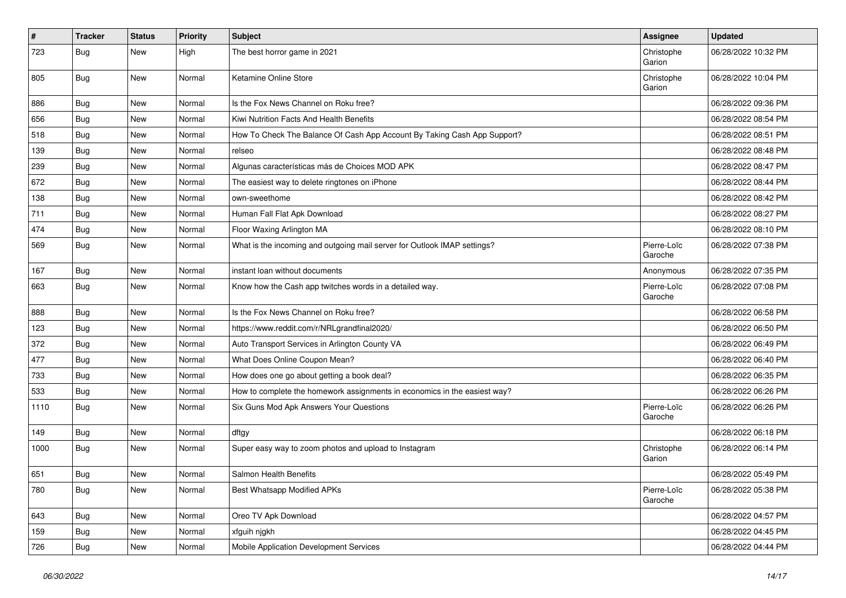| #    | <b>Tracker</b> | <b>Status</b> | <b>Priority</b> | <b>Subject</b>                                                            | <b>Assignee</b>        | <b>Updated</b>      |
|------|----------------|---------------|-----------------|---------------------------------------------------------------------------|------------------------|---------------------|
| 723  | <b>Bug</b>     | New           | High            | The best horror game in 2021                                              | Christophe<br>Garion   | 06/28/2022 10:32 PM |
| 805  | <b>Bug</b>     | <b>New</b>    | Normal          | Ketamine Online Store                                                     | Christophe<br>Garion   | 06/28/2022 10:04 PM |
| 886  | <b>Bug</b>     | New           | Normal          | Is the Fox News Channel on Roku free?                                     |                        | 06/28/2022 09:36 PM |
| 656  | Bug            | New           | Normal          | Kiwi Nutrition Facts And Health Benefits                                  |                        | 06/28/2022 08:54 PM |
| 518  | Bug            | <b>New</b>    | Normal          | How To Check The Balance Of Cash App Account By Taking Cash App Support?  |                        | 06/28/2022 08:51 PM |
| 139  | <b>Bug</b>     | New           | Normal          | relseo                                                                    |                        | 06/28/2022 08:48 PM |
| 239  | <b>Bug</b>     | New           | Normal          | Algunas características más de Choices MOD APK                            |                        | 06/28/2022 08:47 PM |
| 672  | Bug            | New           | Normal          | The easiest way to delete ringtones on iPhone                             |                        | 06/28/2022 08:44 PM |
| 138  | <b>Bug</b>     | New           | Normal          | own-sweethome                                                             |                        | 06/28/2022 08:42 PM |
| 711  | <b>Bug</b>     | New           | Normal          | Human Fall Flat Apk Download                                              |                        | 06/28/2022 08:27 PM |
| 474  | Bug            | New           | Normal          | Floor Waxing Arlington MA                                                 |                        | 06/28/2022 08:10 PM |
| 569  | <b>Bug</b>     | New           | Normal          | What is the incoming and outgoing mail server for Outlook IMAP settings?  | Pierre-Loïc<br>Garoche | 06/28/2022 07:38 PM |
| 167  | <b>Bug</b>     | New           | Normal          | instant loan without documents                                            | Anonymous              | 06/28/2022 07:35 PM |
| 663  | Bug            | New           | Normal          | Know how the Cash app twitches words in a detailed way.                   | Pierre-Loïc<br>Garoche | 06/28/2022 07:08 PM |
| 888  | <b>Bug</b>     | New           | Normal          | Is the Fox News Channel on Roku free?                                     |                        | 06/28/2022 06:58 PM |
| 123  | Bug            | New           | Normal          | https://www.reddit.com/r/NRLgrandfinal2020/                               |                        | 06/28/2022 06:50 PM |
| 372  | <b>Bug</b>     | New           | Normal          | Auto Transport Services in Arlington County VA                            |                        | 06/28/2022 06:49 PM |
| 477  | Bug            | New           | Normal          | What Does Online Coupon Mean?                                             |                        | 06/28/2022 06:40 PM |
| 733  | Bug            | New           | Normal          | How does one go about getting a book deal?                                |                        | 06/28/2022 06:35 PM |
| 533  | <b>Bug</b>     | New           | Normal          | How to complete the homework assignments in economics in the easiest way? |                        | 06/28/2022 06:26 PM |
| 1110 | Bug            | New           | Normal          | Six Guns Mod Apk Answers Your Questions                                   | Pierre-Loïc<br>Garoche | 06/28/2022 06:26 PM |
| 149  | Bug            | New           | Normal          | dftgy                                                                     |                        | 06/28/2022 06:18 PM |
| 1000 | <b>Bug</b>     | New           | Normal          | Super easy way to zoom photos and upload to Instagram                     | Christophe<br>Garion   | 06/28/2022 06:14 PM |
| 651  | Bug            | New           | Normal          | Salmon Health Benefits                                                    |                        | 06/28/2022 05:49 PM |
| 780  | Bug            | New           | Normal          | Best Whatsapp Modified APKs                                               | Pierre-Loïc<br>Garoche | 06/28/2022 05:38 PM |
| 643  | <b>Bug</b>     | New           | Normal          | Oreo TV Apk Download                                                      |                        | 06/28/2022 04:57 PM |
| 159  | <b>Bug</b>     | New           | Normal          | xfguih njgkh                                                              |                        | 06/28/2022 04:45 PM |
| 726  | Bug            | New           | Normal          | Mobile Application Development Services                                   |                        | 06/28/2022 04:44 PM |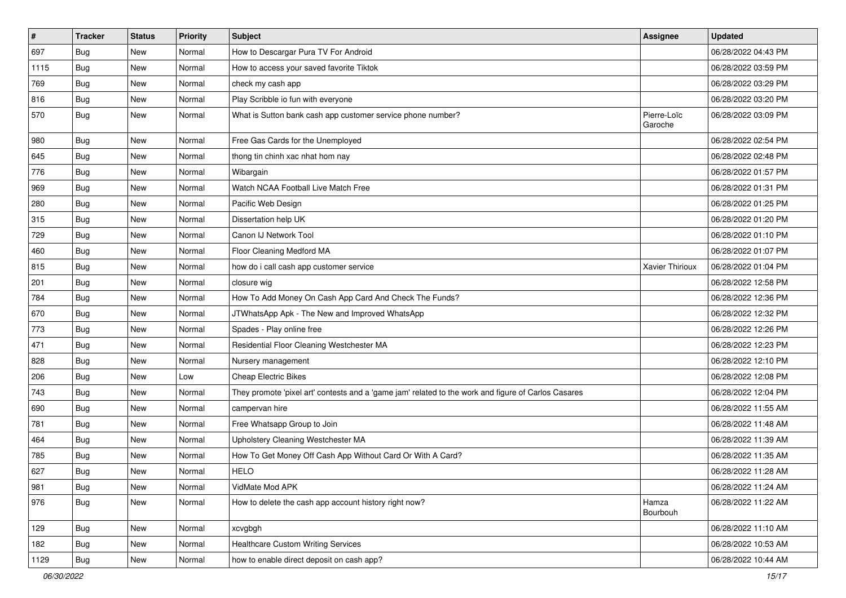| $\vert$ # | <b>Tracker</b> | <b>Status</b> | Priority | <b>Subject</b>                                                                                      | <b>Assignee</b>        | <b>Updated</b>      |
|-----------|----------------|---------------|----------|-----------------------------------------------------------------------------------------------------|------------------------|---------------------|
| 697       | Bug            | New           | Normal   | How to Descargar Pura TV For Android                                                                |                        | 06/28/2022 04:43 PM |
| 1115      | <b>Bug</b>     | <b>New</b>    | Normal   | How to access your saved favorite Tiktok                                                            |                        | 06/28/2022 03:59 PM |
| 769       | <b>Bug</b>     | New           | Normal   | check my cash app                                                                                   |                        | 06/28/2022 03:29 PM |
| 816       | Bug            | New           | Normal   | Play Scribble io fun with everyone                                                                  |                        | 06/28/2022 03:20 PM |
| 570       | <b>Bug</b>     | New           | Normal   | What is Sutton bank cash app customer service phone number?                                         | Pierre-Loïc<br>Garoche | 06/28/2022 03:09 PM |
| 980       | <b>Bug</b>     | New           | Normal   | Free Gas Cards for the Unemployed                                                                   |                        | 06/28/2022 02:54 PM |
| 645       | Bug            | New           | Normal   | thong tin chinh xac nhat hom nay                                                                    |                        | 06/28/2022 02:48 PM |
| 776       | <b>Bug</b>     | New           | Normal   | Wibargain                                                                                           |                        | 06/28/2022 01:57 PM |
| 969       | Bug            | New           | Normal   | Watch NCAA Football Live Match Free                                                                 |                        | 06/28/2022 01:31 PM |
| 280       | Bug            | New           | Normal   | Pacific Web Design                                                                                  |                        | 06/28/2022 01:25 PM |
| 315       | Bug            | New           | Normal   | Dissertation help UK                                                                                |                        | 06/28/2022 01:20 PM |
| 729       | Bug            | New           | Normal   | Canon IJ Network Tool                                                                               |                        | 06/28/2022 01:10 PM |
| 460       | <b>Bug</b>     | New           | Normal   | Floor Cleaning Medford MA                                                                           |                        | 06/28/2022 01:07 PM |
| 815       | Bug            | New           | Normal   | how do i call cash app customer service                                                             | <b>Xavier Thirioux</b> | 06/28/2022 01:04 PM |
| 201       | Bug            | New           | Normal   | closure wig                                                                                         |                        | 06/28/2022 12:58 PM |
| 784       | Bug            | New           | Normal   | How To Add Money On Cash App Card And Check The Funds?                                              |                        | 06/28/2022 12:36 PM |
| 670       | Bug            | New           | Normal   | JTWhatsApp Apk - The New and Improved WhatsApp                                                      |                        | 06/28/2022 12:32 PM |
| 773       | Bug            | New           | Normal   | Spades - Play online free                                                                           |                        | 06/28/2022 12:26 PM |
| 471       | Bug            | New           | Normal   | Residential Floor Cleaning Westchester MA                                                           |                        | 06/28/2022 12:23 PM |
| 828       | Bug            | New           | Normal   | Nursery management                                                                                  |                        | 06/28/2022 12:10 PM |
| 206       | Bug            | New           | Low      | <b>Cheap Electric Bikes</b>                                                                         |                        | 06/28/2022 12:08 PM |
| 743       | Bug            | New           | Normal   | They promote 'pixel art' contests and a 'game jam' related to the work and figure of Carlos Casares |                        | 06/28/2022 12:04 PM |
| 690       | <b>Bug</b>     | New           | Normal   | campervan hire                                                                                      |                        | 06/28/2022 11:55 AM |
| 781       | Bug            | New           | Normal   | Free Whatsapp Group to Join                                                                         |                        | 06/28/2022 11:48 AM |
| 464       | Bug            | New           | Normal   | Upholstery Cleaning Westchester MA                                                                  |                        | 06/28/2022 11:39 AM |
| 785       | Bug            | New           | Normal   | How To Get Money Off Cash App Without Card Or With A Card?                                          |                        | 06/28/2022 11:35 AM |
| 627       | <b>Bug</b>     | New           | Normal   | <b>HELO</b>                                                                                         |                        | 06/28/2022 11:28 AM |
| 981       | Bug            | New           | Normal   | VidMate Mod APK                                                                                     |                        | 06/28/2022 11:24 AM |
| 976       | Bug            | New           | Normal   | How to delete the cash app account history right now?                                               | Hamza<br>Bourbouh      | 06/28/2022 11:22 AM |
| 129       | Bug            | New           | Normal   | xcvgbgh                                                                                             |                        | 06/28/2022 11:10 AM |
| 182       | Bug            | New           | Normal   | <b>Healthcare Custom Writing Services</b>                                                           |                        | 06/28/2022 10:53 AM |
| 1129      | Bug            | New           | Normal   | how to enable direct deposit on cash app?                                                           |                        | 06/28/2022 10:44 AM |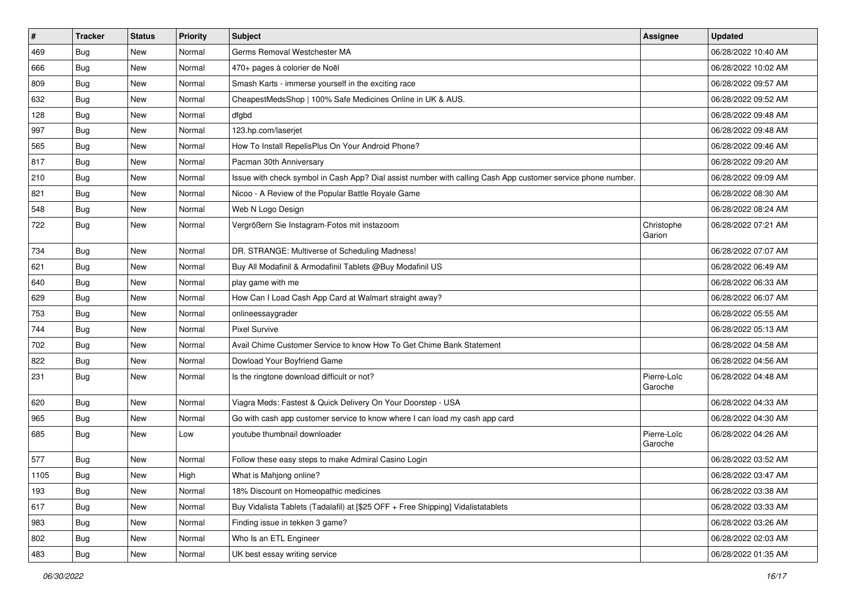| #    | <b>Tracker</b> | <b>Status</b> | <b>Priority</b> | Subject                                                                                                      | Assignee               | <b>Updated</b>      |
|------|----------------|---------------|-----------------|--------------------------------------------------------------------------------------------------------------|------------------------|---------------------|
| 469  | <b>Bug</b>     | New           | Normal          | Germs Removal Westchester MA                                                                                 |                        | 06/28/2022 10:40 AM |
| 666  | <b>Bug</b>     | New           | Normal          | 470+ pages à colorier de Noël                                                                                |                        | 06/28/2022 10:02 AM |
| 809  | Bug            | New           | Normal          | Smash Karts - immerse yourself in the exciting race                                                          |                        | 06/28/2022 09:57 AM |
| 632  | Bug            | New           | Normal          | CheapestMedsShop   100% Safe Medicines Online in UK & AUS.                                                   |                        | 06/28/2022 09:52 AM |
| 128  | <b>Bug</b>     | New           | Normal          | dfgbd                                                                                                        |                        | 06/28/2022 09:48 AM |
| 997  | Bug            | New           | Normal          | 123.hp.com/laseriet                                                                                          |                        | 06/28/2022 09:48 AM |
| 565  | Bug            | New           | Normal          | How To Install RepelisPlus On Your Android Phone?                                                            |                        | 06/28/2022 09:46 AM |
| 817  | Bug            | New           | Normal          | Pacman 30th Anniversary                                                                                      |                        | 06/28/2022 09:20 AM |
| 210  | <b>Bug</b>     | New           | Normal          | Issue with check symbol in Cash App? Dial assist number with calling Cash App customer service phone number. |                        | 06/28/2022 09:09 AM |
| 821  | Bug            | New           | Normal          | Nicoo - A Review of the Popular Battle Royale Game                                                           |                        | 06/28/2022 08:30 AM |
| 548  | <b>Bug</b>     | New           | Normal          | Web N Logo Design                                                                                            |                        | 06/28/2022 08:24 AM |
| 722  | <b>Bug</b>     | New           | Normal          | Vergrößern Sie Instagram-Fotos mit instazoom                                                                 | Christophe<br>Garion   | 06/28/2022 07:21 AM |
| 734  | <b>Bug</b>     | New           | Normal          | DR. STRANGE: Multiverse of Scheduling Madness!                                                               |                        | 06/28/2022 07:07 AM |
| 621  | Bug            | New           | Normal          | Buy All Modafinil & Armodafinil Tablets @Buy Modafinil US                                                    |                        | 06/28/2022 06:49 AM |
| 640  | Bug            | New           | Normal          | play game with me                                                                                            |                        | 06/28/2022 06:33 AM |
| 629  | <b>Bug</b>     | New           | Normal          | How Can I Load Cash App Card at Walmart straight away?                                                       |                        | 06/28/2022 06:07 AM |
| 753  | Bug            | New           | Normal          | onlineessaygrader                                                                                            |                        | 06/28/2022 05:55 AM |
| 744  | Bug            | New           | Normal          | <b>Pixel Survive</b>                                                                                         |                        | 06/28/2022 05:13 AM |
| 702  | Bug            | New           | Normal          | Avail Chime Customer Service to know How To Get Chime Bank Statement                                         |                        | 06/28/2022 04:58 AM |
| 822  | Bug            | New           | Normal          | Dowload Your Boyfriend Game                                                                                  |                        | 06/28/2022 04:56 AM |
| 231  | <b>Bug</b>     | New           | Normal          | Is the ringtone download difficult or not?                                                                   | Pierre-Loïc<br>Garoche | 06/28/2022 04:48 AM |
| 620  | Bug            | New           | Normal          | Viagra Meds: Fastest & Quick Delivery On Your Doorstep - USA                                                 |                        | 06/28/2022 04:33 AM |
| 965  | <b>Bug</b>     | New           | Normal          | Go with cash app customer service to know where I can load my cash app card                                  |                        | 06/28/2022 04:30 AM |
| 685  | <b>Bug</b>     | New           | Low             | youtube thumbnail downloader                                                                                 | Pierre-Loïc<br>Garoche | 06/28/2022 04:26 AM |
| 577  | <b>Bug</b>     | New           | Normal          | Follow these easy steps to make Admiral Casino Login                                                         |                        | 06/28/2022 03:52 AM |
| 1105 | Bug            | New           | High            | What is Mahjong online?                                                                                      |                        | 06/28/2022 03:47 AM |
| 193  | <b>Bug</b>     | New           | Normal          | 18% Discount on Homeopathic medicines                                                                        |                        | 06/28/2022 03:38 AM |
| 617  | Bug            | New           | Normal          | Buy Vidalista Tablets (Tadalafil) at [\$25 OFF + Free Shipping] Vidalistatablets                             |                        | 06/28/2022 03:33 AM |
| 983  | <b>Bug</b>     | New           | Normal          | Finding issue in tekken 3 game?                                                                              |                        | 06/28/2022 03:26 AM |
| 802  | Bug            | New           | Normal          | Who Is an ETL Engineer                                                                                       |                        | 06/28/2022 02:03 AM |
| 483  | Bug            | New           | Normal          | UK best essay writing service                                                                                |                        | 06/28/2022 01:35 AM |